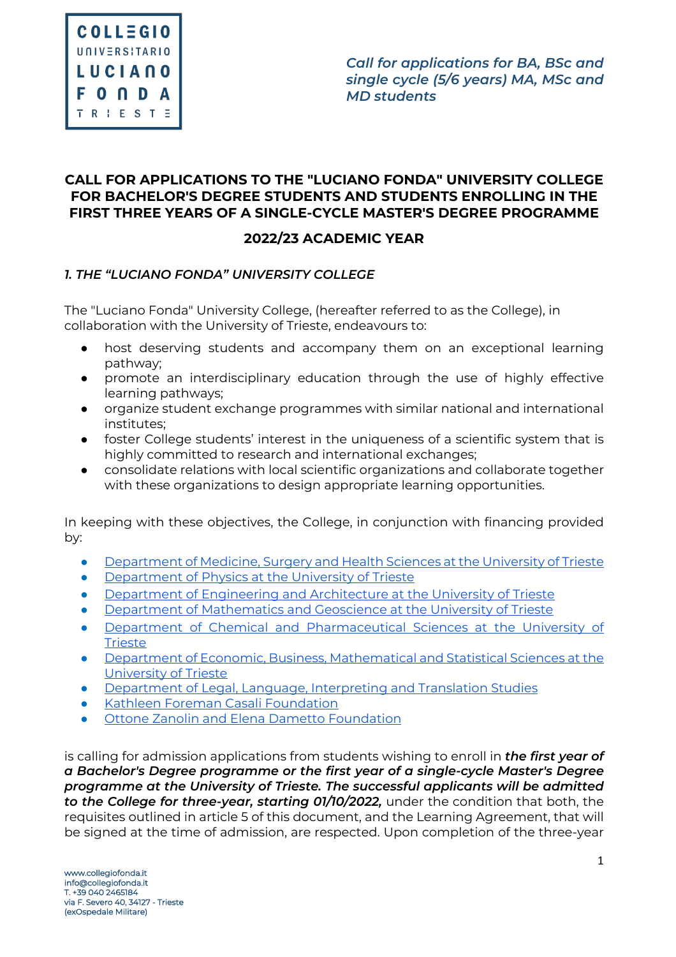# **CALL FOR APPLICATIONS TO THE "LUCIANO FONDA" UNIVERSITY COLLEGE FOR BACHELOR'S DEGREE STUDENTS AND STUDENTS ENROLLING IN THE FIRST THREE YEARS OF A SINGLE-CYCLE MASTER'S DEGREE PROGRAMME**

# **2022/23 ACADEMIC YEAR**

# *1. THE "LUCIANO FONDA" UNIVERSITY COLLEGE*

The "Luciano Fonda" University College, (hereafter referred to as the College), in collaboration with the University of Trieste, endeavours to:

- host deserving students and accompany them on an exceptional learning pathway;
- promote an interdisciplinary education through the use of highly effective learning pathways;
- organize student exchange programmes with similar national and international institutes;
- foster College students' interest in the uniqueness of a scientific system that is highly committed to research and international exchanges;
- consolidate relations with local scientific organizations and collaborate together with these organizations to design appropriate learning opportunities.

In keeping with these objectives, the College, in conjunction with financing provided by:

- Department of Medicine, Surgery and Health Sciences at the University of Trieste
- Department of Physics at the University of Trieste
- Department of Engineering and Architecture at the University of Trieste
- Department of Mathematics and Geoscience at the University of Trieste
- Department of Chemical and Pharmaceutical Sciences at the University of **Trieste**
- Department of Economic, Business, Mathematical and Statistical Sciences at the University of Trieste
- Department of Legal, Language, Interpreting and Translation Studies
- Kathleen Foreman Casali Foundation
- Ottone Zanolin and Elena Dametto Foundation

is calling for admission applications from students wishing to enroll in *the first year of a Bachelor's Degree programme or the first year of a single-cycle Master's Degree programme at the University of Trieste. The successful applicants will be admitted to the College for three-year, starting 01/10/2022,* under the condition that both, the requisites outlined in article 5 of this document, and the Learning Agreement, that will be signed at the time of admission, are respected. Upon completion of the three-year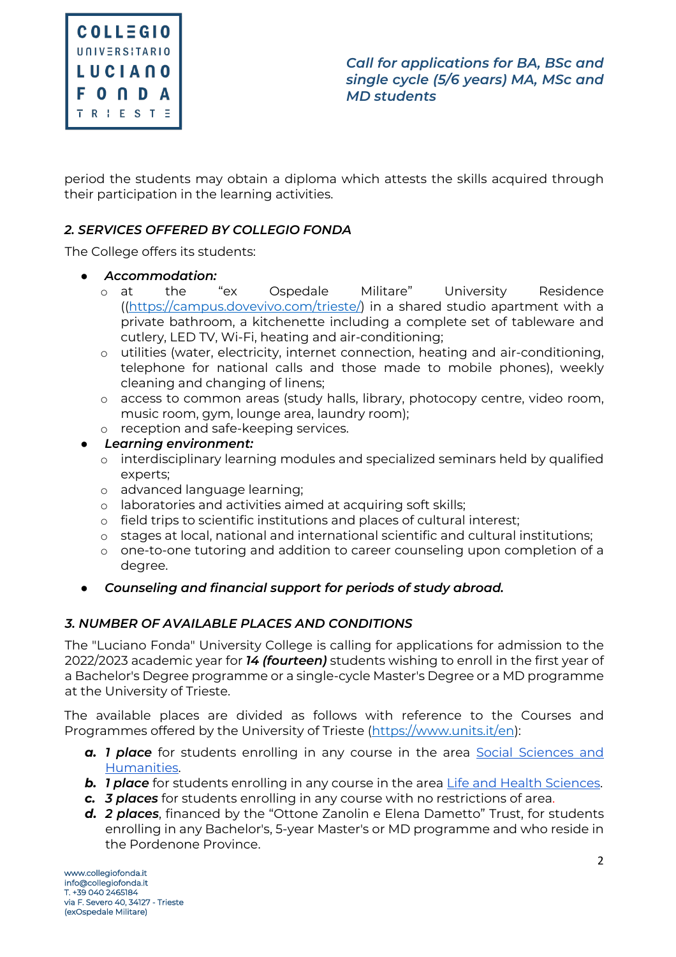

period the students may obtain a diploma which attests the skills acquired through their participation in the learning activities.

# *2. SERVICES OFFERED BY COLLEGIO FONDA*

The College offers its students:

- *Accommodation:*
	- o at the "ex Ospedale Militare" University Residence ((https://campus.dovevivo.com/trieste/) in a shared studio apartment with a private bathroom, a kitchenette including a complete set of tableware and cutlery, LED TV, Wi-Fi, heating and air-conditioning;
	- o utilities (water, electricity, internet connection, heating and air-conditioning, telephone for national calls and those made to mobile phones), weekly cleaning and changing of linens;
	- o access to common areas (study halls, library, photocopy centre, video room, music room, gym, lounge area, laundry room);
	- o reception and safe-keeping services.
- *Learning environment:*
	- o interdisciplinary learning modules and specialized seminars held by qualified experts;
	- o advanced language learning;
	- o laboratories and activities aimed at acquiring soft skills;
	- o field trips to scientific institutions and places of cultural interest;
	- o stages at local, national and international scientific and cultural institutions;
	- o one-to-one tutoring and addition to career counseling upon completion of a degree.
- *Counseling and financial support for periods of study abroad.*

# *3. NUMBER OF AVAILABLE PLACES AND CONDITIONS*

The "Luciano Fonda" University College is calling for applications for admission to the 2022/2023 academic year for *14 (fourteen)* students wishing to enroll in the first year of a Bachelor's Degree programme or a single-cycle Master's Degree or a MD programme at the University of Trieste.

The available places are divided as follows with reference to the Courses and Programmes offered by the University of Trieste (https://www.units.it/en):

- **a.** *1 place* for students enrolling in any course in the area Social Sciences and Humanities.
- **b.** *1 place* for students enrolling in any course in the area Life and Health Sciences.
- *c. 3 places* for students enrolling in any course with no restrictions of area.
- *d. 2 places*, financed by the "Ottone Zanolin e Elena Dametto" Trust, for students enrolling in any Bachelor's, 5-year Master's or MD programme and who reside in the Pordenone Province.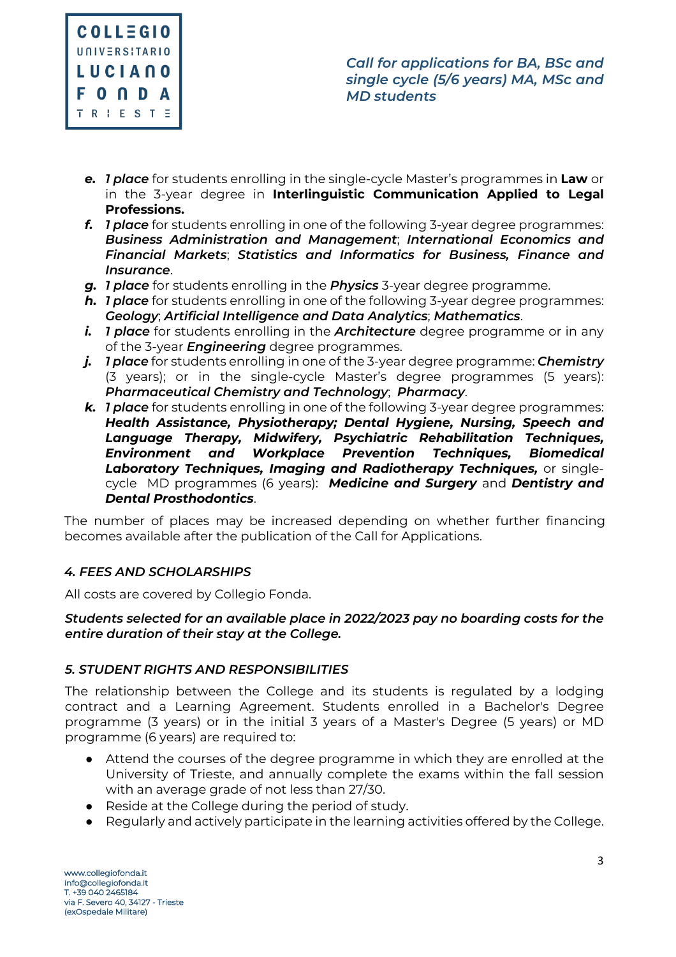

- *e. 1 place* for students enrolling in the single-cycle Master's programmes in **Law** or in the 3-year degree in **Interlinguistic Communication Applied to Legal Professions.**
- *f. 1 place* for students enrolling in one of the following 3-year degree programmes: *Business Administration and Management*; *International Economics and Financial Markets*; *Statistics and Informatics for Business, Finance and Insurance*.
- *g. 1 place* for students enrolling in the *Physics* 3-year degree programme.
- *h. 1 place* for students enrolling in one of the following 3-year degree programmes: *Geology*; *Artificial Intelligence and Data Analytics*; *Mathematics*.
- *i. 1 place* for students enrolling in the *Architecture* degree programme or in any of the 3-year *Engineering* degree programmes.
- *j. 1 place* for students enrolling in one of the 3-year degree programme: *Chemistry* (3 years); or in the single-cycle Master's degree programmes (5 years): *Pharmaceutical Chemistry and Technology*; *Pharmacy*.
- *k. 1 place* for students enrolling in one of the following 3-year degree programmes: *Health Assistance, Physiotherapy; Dental Hygiene, Nursing, Speech and Language Therapy, Midwifery, Psychiatric Rehabilitation Techniques, Environment and Workplace Prevention Techniques, Biomedical Laboratory Techniques, Imaging and Radiotherapy Techniques,* or singlecycle MD programmes (6 years): *Medicine and Surgery* and *Dentistry and Dental Prosthodontics*.

The number of places may be increased depending on whether further financing becomes available after the publication of the Call for Applications.

# *4. FEES AND SCHOLARSHIPS*

All costs are covered by Collegio Fonda.

#### *Students selected for an available place in 2022/2023 pay no boarding costs for the entire duration of their stay at the College.*

# *5. STUDENT RIGHTS AND RESPONSIBILITIES*

The relationship between the College and its students is regulated by a lodging contract and a Learning Agreement. Students enrolled in a Bachelor's Degree programme (3 years) or in the initial 3 years of a Master's Degree (5 years) or MD programme (6 years) are required to:

- Attend the courses of the degree programme in which they are enrolled at the University of Trieste, and annually complete the exams within the fall session with an average grade of not less than 27/30.
- Reside at the College during the period of study.
- Regularly and actively participate in the learning activities offered by the College.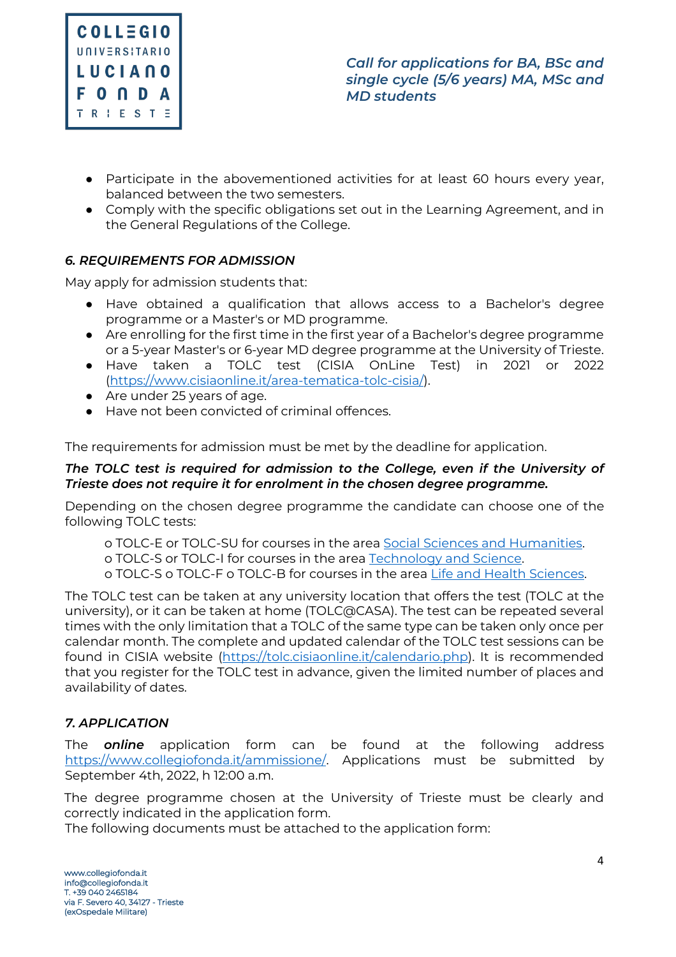

- Participate in the abovementioned activities for at least 60 hours every year, balanced between the two semesters.
- Comply with the specific obligations set out in the Learning Agreement, and in the General Regulations of the College.

# *6. REQUIREMENTS FOR ADMISSION*

May apply for admission students that:

- Have obtained a qualification that allows access to a Bachelor's degree programme or a Master's or MD programme.
- Are enrolling for the first time in the first year of a Bachelor's degree programme or a 5-year Master's or 6-year MD degree programme at the University of Trieste.
- Have taken a TOLC test (CISIA OnLine Test) in 2021 or 2022 (https://www.cisiaonline.it/area-tematica-tolc-cisia/).
- Are under 25 years of age.
- Have not been convicted of criminal offences.

The requirements for admission must be met by the deadline for application.

#### *The TOLC test is required for admission to the College, even if the University of Trieste does not require it for enrolment in the chosen degree programme.*

Depending on the chosen degree programme the candidate can choose one of the following TOLC tests:

o TOLC-E or TOLC-SU for courses in the area Social Sciences and Humanities.

o TOLC-S or TOLC-I for courses in the area Technology and Science.

o TOLC-S o TOLC-F o TOLC-B for courses in the area Life and Health Sciences.

The TOLC test can be taken at any university location that offers the test (TOLC at the university), or it can be taken at home (TOLC@CASA). The test can be repeated several times with the only limitation that a TOLC of the same type can be taken only once per calendar month. The complete and updated calendar of the TOLC test sessions can be found in CISIA website (https://tolc.cisiaonline.it/calendario.php). It is recommended that you register for the TOLC test in advance, given the limited number of places and availability of dates.

# *7. APPLICATION*

The *online* application form can be found at the following address https://www.collegiofonda.it/ammissione/. Applications must be submitted by September 4th, 2022, h 12:00 a.m.

The degree programme chosen at the University of Trieste must be clearly and correctly indicated in the application form.

The following documents must be attached to the application form: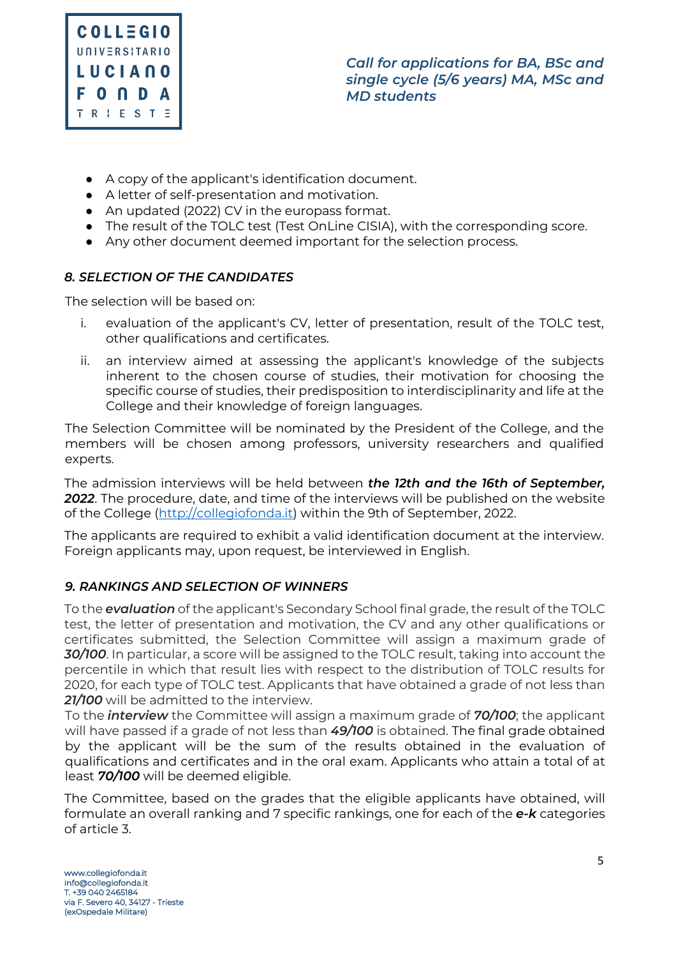

- A copy of the applicant's identification document.
- A letter of self-presentation and motivation.
- An updated (2022) CV in the europass format.
- The result of the TOLC test (Test OnLine CISIA), with the corresponding score.
- Any other document deemed important for the selection process.

# *8. SELECTION OF THE CANDIDATES*

The selection will be based on:

- i. evaluation of the applicant's CV, letter of presentation, result of the TOLC test, other qualifications and certificates.
- ii. an interview aimed at assessing the applicant's knowledge of the subjects inherent to the chosen course of studies, their motivation for choosing the specific course of studies, their predisposition to interdisciplinarity and life at the College and their knowledge of foreign languages.

The Selection Committee will be nominated by the President of the College, and the members will be chosen among professors, university researchers and qualified experts.

The admission interviews will be held between *the 12th and the 16th of September, 2022*. The procedure, date, and time of the interviews will be published on the website of the College (http://collegiofonda.it) within the 9th of September, 2022.

The applicants are required to exhibit a valid identification document at the interview. Foreign applicants may, upon request, be interviewed in English.

# *9. RANKINGS AND SELECTION OF WINNERS*

To the *evaluation* of the applicant's Secondary School final grade, the result of the TOLC test, the letter of presentation and motivation, the CV and any other qualifications or certificates submitted, the Selection Committee will assign a maximum grade of *30/100*. In particular, a score will be assigned to the TOLC result, taking into account the percentile in which that result lies with respect to the distribution of TOLC results for 2020, for each type of TOLC test. Applicants that have obtained a grade of not less than *21/100* will be admitted to the interview.

To the *interview* the Committee will assign a maximum grade of *70/100*; the applicant will have passed if a grade of not less than *49/100* is obtained. The final grade obtained by the applicant will be the sum of the results obtained in the evaluation of qualifications and certificates and in the oral exam. Applicants who attain a total of at least *70/100* will be deemed eligible.

The Committee, based on the grades that the eligible applicants have obtained, will formulate an overall ranking and 7 specific rankings, one for each of the *e-k* categories of article 3.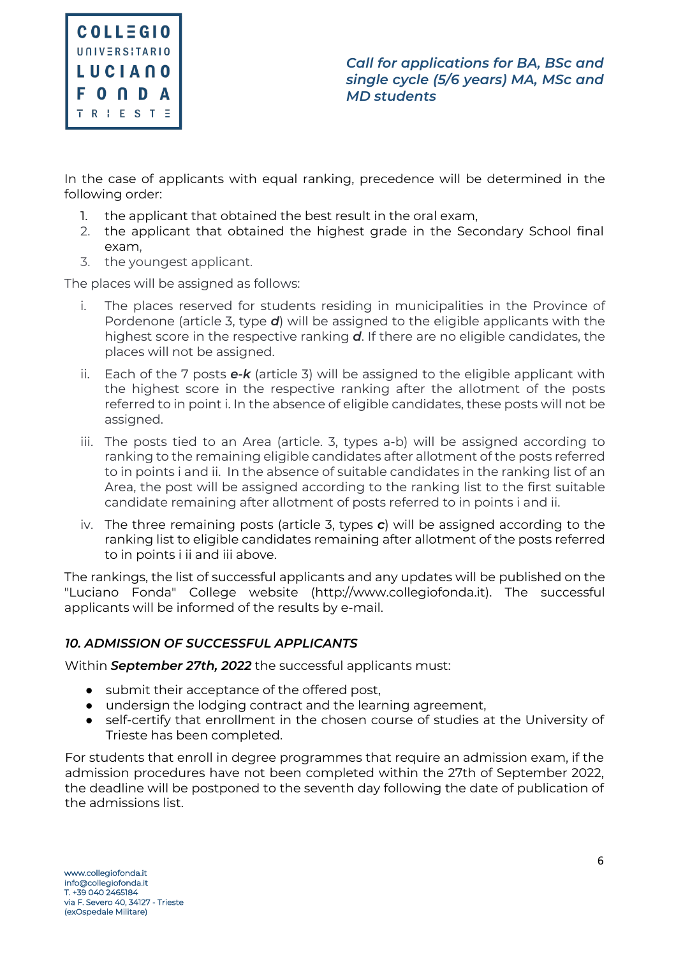

In the case of applicants with equal ranking, precedence will be determined in the following order:

- 1. the applicant that obtained the best result in the oral exam,
- 2. the applicant that obtained the highest grade in the Secondary School final exam,
- 3. the youngest applicant.

The places will be assigned as follows:

- i. The places reserved for students residing in municipalities in the Province of Pordenone (article 3, type *d*) will be assigned to the eligible applicants with the highest score in the respective ranking *d*. If there are no eligible candidates, the places will not be assigned.
- ii. Each of the 7 posts *e-k* (article 3) will be assigned to the eligible applicant with the highest score in the respective ranking after the allotment of the posts referred to in point i. In the absence of eligible candidates, these posts will not be assigned.
- iii. The posts tied to an Area (article. 3, types a-b) will be assigned according to ranking to the remaining eligible candidates after allotment of the posts referred to in points i and ii. In the absence of suitable candidates in the ranking list of an Area, the post will be assigned according to the ranking list to the first suitable candidate remaining after allotment of posts referred to in points i and ii.
- iv. The three remaining posts (article 3, types *c*) will be assigned according to the ranking list to eligible candidates remaining after allotment of the posts referred to in points i ii and iii above.

The rankings, the list of successful applicants and any updates will be published on the "Luciano Fonda" College website (http://www.collegiofonda.it). The successful applicants will be informed of the results by e-mail.

# *10. ADMISSION OF SUCCESSFUL APPLICANTS*

Within *September 27th, 2022* the successful applicants must:

- submit their acceptance of the offered post,
- undersign the lodging contract and the learning agreement,
- self-certify that enrollment in the chosen course of studies at the University of Trieste has been completed.

For students that enroll in degree programmes that require an admission exam, if the admission procedures have not been completed within the 27th of September 2022, the deadline will be postponed to the seventh day following the date of publication of the admissions list.